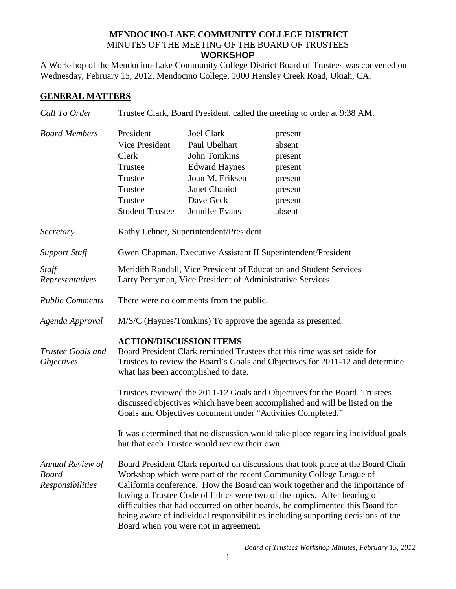## **MENDOCINO-LAKE COMMUNITY COLLEGE DISTRICT** MINUTES OF THE MEETING OF THE BOARD OF TRUSTEES **WORKSHOP**

A Workshop of the Mendocino-Lake Community College District Board of Trustees was convened on Wednesday, February 15, 2012, Mendocino College, 1000 Hensley Creek Road, Ukiah, CA.

## **GENERAL MATTERS**

| Call To Order                                               | Trustee Clark, Board President, called the meeting to order at 9:38 AM.                                                                                                                                                            |                                                                                                                                               |                                                                                                                                                                                                                                                                                                                                                                                                                                                                                          |  |
|-------------------------------------------------------------|------------------------------------------------------------------------------------------------------------------------------------------------------------------------------------------------------------------------------------|-----------------------------------------------------------------------------------------------------------------------------------------------|------------------------------------------------------------------------------------------------------------------------------------------------------------------------------------------------------------------------------------------------------------------------------------------------------------------------------------------------------------------------------------------------------------------------------------------------------------------------------------------|--|
| <b>Board Members</b>                                        | President<br><b>Vice President</b><br>Clerk<br>Trustee<br>Trustee<br>Trustee<br>Trustee<br><b>Student Trustee</b>                                                                                                                  | <b>Joel Clark</b><br>Paul Ubelhart<br>John Tomkins<br><b>Edward Haynes</b><br>Joan M. Eriksen<br>Janet Chaniot<br>Dave Geck<br>Jennifer Evans | present<br>absent<br>present<br>present<br>present<br>present<br>present<br>absent                                                                                                                                                                                                                                                                                                                                                                                                       |  |
| Secretary                                                   | Kathy Lehner, Superintendent/President                                                                                                                                                                                             |                                                                                                                                               |                                                                                                                                                                                                                                                                                                                                                                                                                                                                                          |  |
| <b>Support Staff</b>                                        | Gwen Chapman, Executive Assistant II Superintendent/President                                                                                                                                                                      |                                                                                                                                               |                                                                                                                                                                                                                                                                                                                                                                                                                                                                                          |  |
| Staff<br>Representatives                                    | Meridith Randall, Vice President of Education and Student Services<br>Larry Perryman, Vice President of Administrative Services                                                                                                    |                                                                                                                                               |                                                                                                                                                                                                                                                                                                                                                                                                                                                                                          |  |
| <b>Public Comments</b>                                      | There were no comments from the public.                                                                                                                                                                                            |                                                                                                                                               |                                                                                                                                                                                                                                                                                                                                                                                                                                                                                          |  |
| Agenda Approval                                             | M/S/C (Haynes/Tomkins) To approve the agenda as presented.                                                                                                                                                                         |                                                                                                                                               |                                                                                                                                                                                                                                                                                                                                                                                                                                                                                          |  |
| Trustee Goals and<br><i>Objectives</i>                      | <b>ACTION/DISCUSSION ITEMS</b><br>Board President Clark reminded Trustees that this time was set aside for<br>Trustees to review the Board's Goals and Objectives for 2011-12 and determine<br>what has been accomplished to date. |                                                                                                                                               |                                                                                                                                                                                                                                                                                                                                                                                                                                                                                          |  |
|                                                             | Trustees reviewed the 2011-12 Goals and Objectives for the Board. Trustees<br>discussed objectives which have been accomplished and will be listed on the<br>Goals and Objectives document under "Activities Completed."           |                                                                                                                                               |                                                                                                                                                                                                                                                                                                                                                                                                                                                                                          |  |
|                                                             | It was determined that no discussion would take place regarding individual goals<br>but that each Trustee would review their own.                                                                                                  |                                                                                                                                               |                                                                                                                                                                                                                                                                                                                                                                                                                                                                                          |  |
| Annual Review of<br><b>Board</b><br><b>Responsibilities</b> |                                                                                                                                                                                                                                    | Board when you were not in agreement.                                                                                                         | Board President Clark reported on discussions that took place at the Board Chair<br>Workshop which were part of the recent Community College League of<br>California conference. How the Board can work together and the importance of<br>having a Trustee Code of Ethics were two of the topics. After hearing of<br>difficulties that had occurred on other boards, he complimented this Board for<br>being aware of individual responsibilities including supporting decisions of the |  |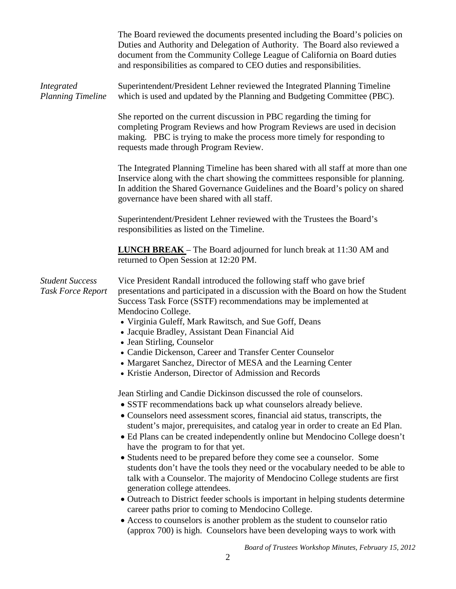|                                                    | The Board reviewed the documents presented including the Board's policies on<br>Duties and Authority and Delegation of Authority. The Board also reviewed a<br>document from the Community College League of California on Board duties<br>and responsibilities as compared to CEO duties and responsibilities.                                                                                                                                                                                                                                                                                                                                                                                                                                                                                                                                                                                                                                                                                               |
|----------------------------------------------------|---------------------------------------------------------------------------------------------------------------------------------------------------------------------------------------------------------------------------------------------------------------------------------------------------------------------------------------------------------------------------------------------------------------------------------------------------------------------------------------------------------------------------------------------------------------------------------------------------------------------------------------------------------------------------------------------------------------------------------------------------------------------------------------------------------------------------------------------------------------------------------------------------------------------------------------------------------------------------------------------------------------|
| <b>Integrated</b><br><b>Planning Timeline</b>      | Superintendent/President Lehner reviewed the Integrated Planning Timeline<br>which is used and updated by the Planning and Budgeting Committee (PBC).                                                                                                                                                                                                                                                                                                                                                                                                                                                                                                                                                                                                                                                                                                                                                                                                                                                         |
|                                                    | She reported on the current discussion in PBC regarding the timing for<br>completing Program Reviews and how Program Reviews are used in decision<br>making. PBC is trying to make the process more timely for responding to<br>requests made through Program Review.                                                                                                                                                                                                                                                                                                                                                                                                                                                                                                                                                                                                                                                                                                                                         |
|                                                    | The Integrated Planning Timeline has been shared with all staff at more than one<br>Inservice along with the chart showing the committees responsible for planning.<br>In addition the Shared Governance Guidelines and the Board's policy on shared<br>governance have been shared with all staff.                                                                                                                                                                                                                                                                                                                                                                                                                                                                                                                                                                                                                                                                                                           |
|                                                    | Superintendent/President Lehner reviewed with the Trustees the Board's<br>responsibilities as listed on the Timeline.                                                                                                                                                                                                                                                                                                                                                                                                                                                                                                                                                                                                                                                                                                                                                                                                                                                                                         |
|                                                    | <b>LUNCH BREAK</b> – The Board adjourned for lunch break at 11:30 AM and<br>returned to Open Session at 12:20 PM.                                                                                                                                                                                                                                                                                                                                                                                                                                                                                                                                                                                                                                                                                                                                                                                                                                                                                             |
| <b>Student Success</b><br><b>Task Force Report</b> | Vice President Randall introduced the following staff who gave brief<br>presentations and participated in a discussion with the Board on how the Student<br>Success Task Force (SSTF) recommendations may be implemented at<br>Mendocino College.<br>• Virginia Guleff, Mark Rawitsch, and Sue Goff, Deans<br>• Jacquie Bradley, Assistant Dean Financial Aid<br>• Jean Stirling, Counselor<br>• Candie Dickenson, Career and Transfer Center Counselor<br>• Margaret Sanchez, Director of MESA and the Learning Center<br>• Kristie Anderson, Director of Admission and Records                                                                                                                                                                                                                                                                                                                                                                                                                              |
|                                                    | Jean Stirling and Candie Dickinson discussed the role of counselors.<br>• SSTF recommendations back up what counselors already believe.<br>• Counselors need assessment scores, financial aid status, transcripts, the<br>student's major, prerequisites, and catalog year in order to create an Ed Plan.<br>• Ed Plans can be created independently online but Mendocino College doesn't<br>have the program to for that yet.<br>• Students need to be prepared before they come see a counselor. Some<br>students don't have the tools they need or the vocabulary needed to be able to<br>talk with a Counselor. The majority of Mendocino College students are first<br>generation college attendees.<br>• Outreach to District feeder schools is important in helping students determine<br>career paths prior to coming to Mendocino College.<br>• Access to counselors is another problem as the student to counselor ratio<br>(approx 700) is high. Counselors have been developing ways to work with |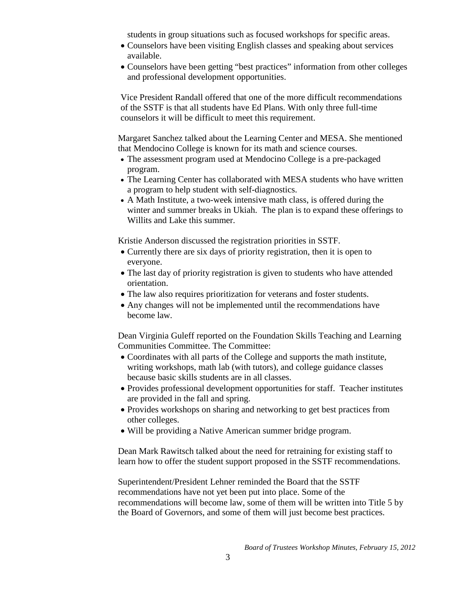students in group situations such as focused workshops for specific areas.

- Counselors have been visiting English classes and speaking about services available.
- Counselors have been getting "best practices" information from other colleges and professional development opportunities.

Vice President Randall offered that one of the more difficult recommendations of the SSTF is that all students have Ed Plans. With only three full-time counselors it will be difficult to meet this requirement.

Margaret Sanchez talked about the Learning Center and MESA. She mentioned that Mendocino College is known for its math and science courses.

- The assessment program used at Mendocino College is a pre-packaged program.
- The Learning Center has collaborated with MESA students who have written a program to help student with self-diagnostics.
- A Math Institute, a two-week intensive math class, is offered during the winter and summer breaks in Ukiah. The plan is to expand these offerings to Willits and Lake this summer.

Kristie Anderson discussed the registration priorities in SSTF.

- Currently there are six days of priority registration, then it is open to everyone.
- The last day of priority registration is given to students who have attended orientation.
- The law also requires prioritization for veterans and foster students.
- Any changes will not be implemented until the recommendations have become law.

Dean Virginia Guleff reported on the Foundation Skills Teaching and Learning Communities Committee. The Committee:

- Coordinates with all parts of the College and supports the math institute, writing workshops, math lab (with tutors), and college guidance classes because basic skills students are in all classes.
- Provides professional development opportunities for staff. Teacher institutes are provided in the fall and spring.
- Provides workshops on sharing and networking to get best practices from other colleges.
- Will be providing a Native American summer bridge program.

Dean Mark Rawitsch talked about the need for retraining for existing staff to learn how to offer the student support proposed in the SSTF recommendations.

Superintendent/President Lehner reminded the Board that the SSTF recommendations have not yet been put into place. Some of the recommendations will become law, some of them will be written into Title 5 by the Board of Governors, and some of them will just become best practices.